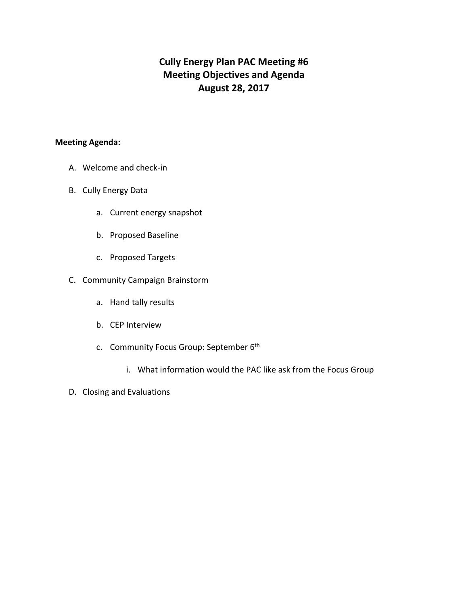# **Cully Energy Plan PAC Meeting #6 Meeting Objectives and Agenda August 28, 2017**

#### **Meeting Agenda:**

- A. Welcome and check-in
- B. Cully Energy Data
	- a. Current energy snapshot
	- b. Proposed Baseline
	- c. Proposed Targets
- C. Community Campaign Brainstorm
	- a. Hand tally results
	- b. CEP Interview
	- c. Community Focus Group: September 6th
		- i. What information would the PAC like ask from the Focus Group
- D. Closing and Evaluations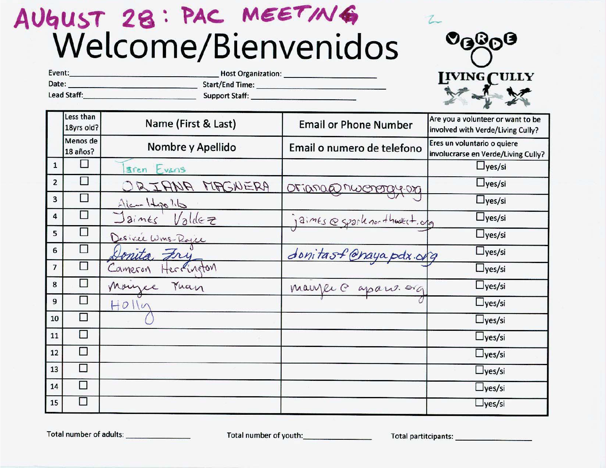# AUGUST 28: PAC MEETING



| Event:      | <b>Host Organization:</b> |  |
|-------------|---------------------------|--|
| Date:       | <b>Start/End Time:</b>    |  |
| Lead Staff: | <b>Support Staff:</b>     |  |

|                          | Less than<br>18yrs old? | Name (First & Last)           | <b>Email or Phone Number</b>  | Are you a volunteer or want to be<br>involved with Verde/Living Cully? |
|--------------------------|-------------------------|-------------------------------|-------------------------------|------------------------------------------------------------------------|
|                          | Menos de<br>18 años?    | Nombre y Apellido             | Email o numero de telefono    | Eres un voluntario o quiere<br>involucrarse en Verde/Living Cully?     |
| $\mathbf{1}$             |                         | aren Evans                    |                               | $\Box$ yes/si                                                          |
| $\overline{2}$           | I.                      | ORIANA MAGNERA                | oriana@nwerergy.org           | $\Box$ yes/si                                                          |
| 3                        | $\Box$                  |                               |                               | $\Box$ yes/si                                                          |
| 4                        | $\Box$                  | Ale Hypolito<br>Jaines Valdez | jaines espartenor thedert.org | $\Box$ yes/si                                                          |
| 5                        | □                       | Desirée Wins-Rajee            |                               | $\Box$ yes/si                                                          |
| 6                        | □                       | Donita Fry                    | donitast @hayapdx.org         | $\Box$ yes/si                                                          |
| $\overline{\phantom{a}}$ | □                       | Cameron<br>Herrington         |                               | $\Box$ yes/si                                                          |
| 8                        | $\Box$                  | Manzee Man                    | maujer @ apare. org           | $\Box$ yes/si                                                          |
| 9                        |                         | $H0$ lln                      |                               | $\Box$ yes/si                                                          |
| 10                       | Ţ.                      |                               |                               | $\Box$ yes/si                                                          |
| 11                       | П                       |                               |                               | $\Box$ yes/si                                                          |
| 12                       | П                       |                               |                               | $\Box$ yes/si                                                          |
| 13                       | П                       |                               |                               | $\Box$ yes/si                                                          |
| 14                       | П                       |                               |                               | $\Box$ yes/si                                                          |
| 15                       | n                       |                               |                               | $\Box$ yes/si                                                          |

Total number of adults:

Total number of youth:<br>
Total number of youth: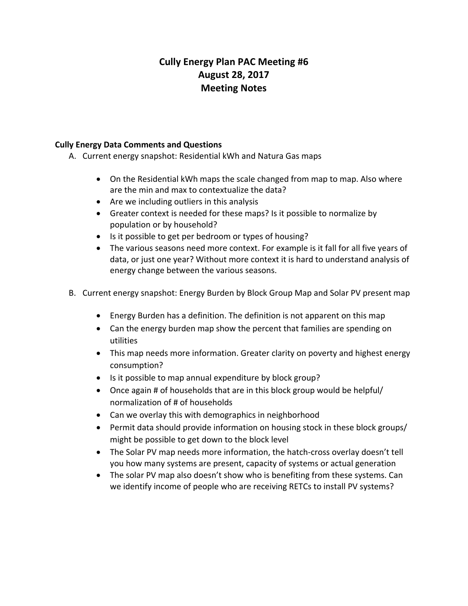## **Cully Energy Plan PAC Meeting #6 August 28, 2017 Meeting Notes**

### **Cully Energy Data Comments and Questions**

- A. Current energy snapshot: Residential kWh and Natura Gas maps
	- On the Residential kWh maps the scale changed from map to map. Also where are the min and max to contextualize the data?
	- Are we including outliers in this analysis
	- Greater context is needed for these maps? Is it possible to normalize by population or by household?
	- Is it possible to get per bedroom or types of housing?
	- The various seasons need more context. For example is it fall for all five years of data, or just one year? Without more context it is hard to understand analysis of energy change between the various seasons.
- B. Current energy snapshot: Energy Burden by Block Group Map and Solar PV present map
	- Energy Burden has a definition. The definition is not apparent on this map
	- Can the energy burden map show the percent that families are spending on utilities
	- This map needs more information. Greater clarity on poverty and highest energy consumption?
	- Is it possible to map annual expenditure by block group?
	- Once again # of households that are in this block group would be helpful/ normalization of # of households
	- Can we overlay this with demographics in neighborhood
	- Permit data should provide information on housing stock in these block groups/ might be possible to get down to the block level
	- The Solar PV map needs more information, the hatch-cross overlay doesn't tell you how many systems are present, capacity of systems or actual generation
	- The solar PV map also doesn't show who is benefiting from these systems. Can we identify income of people who are receiving RETCs to install PV systems?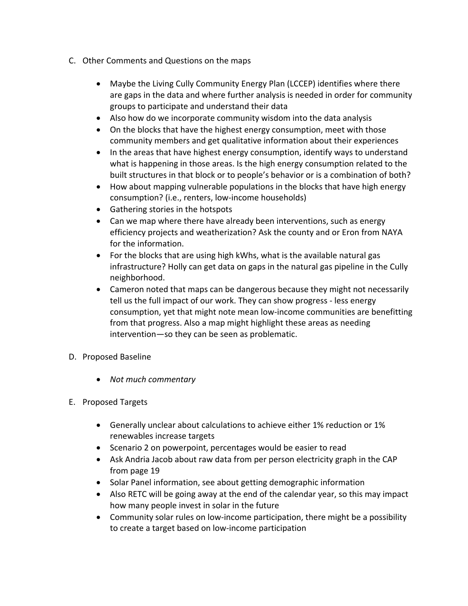- C. Other Comments and Questions on the maps
	- Maybe the Living Cully Community Energy Plan (LCCEP) identifies where there are gaps in the data and where further analysis is needed in order for community groups to participate and understand their data
	- Also how do we incorporate community wisdom into the data analysis
	- On the blocks that have the highest energy consumption, meet with those community members and get qualitative information about their experiences
	- In the areas that have highest energy consumption, identify ways to understand what is happening in those areas. Is the high energy consumption related to the built structures in that block or to people's behavior or is a combination of both?
	- How about mapping vulnerable populations in the blocks that have high energy consumption? (i.e., renters, low-income households)
	- Gathering stories in the hotspots
	- Can we map where there have already been interventions, such as energy efficiency projects and weatherization? Ask the county and or Eron from NAYA for the information.
	- For the blocks that are using high kWhs, what is the available natural gas infrastructure? Holly can get data on gaps in the natural gas pipeline in the Cully neighborhood.
	- Cameron noted that maps can be dangerous because they might not necessarily tell us the full impact of our work. They can show progress - less energy consumption, yet that might note mean low-income communities are benefitting from that progress. Also a map might highlight these areas as needing intervention—so they can be seen as problematic.
- D. Proposed Baseline
	- *Not much commentary*
- E. Proposed Targets
	- Generally unclear about calculations to achieve either 1% reduction or 1% renewables increase targets
	- Scenario 2 on powerpoint, percentages would be easier to read
	- Ask Andria Jacob about raw data from per person electricity graph in the CAP from page 19
	- Solar Panel information, see about getting demographic information
	- Also RETC will be going away at the end of the calendar year, so this may impact how many people invest in solar in the future
	- Community solar rules on low-income participation, there might be a possibility to create a target based on low-income participation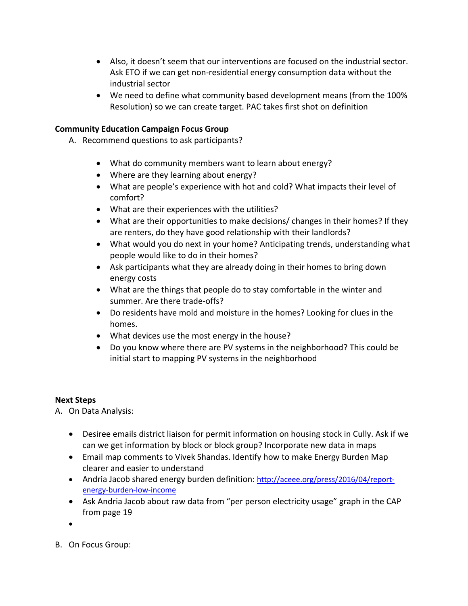- Also, it doesn't seem that our interventions are focused on the industrial sector. Ask ETO if we can get non-residential energy consumption data without the industrial sector
- We need to define what community based development means (from the 100% Resolution) so we can create target. PAC takes first shot on definition

## **Community Education Campaign Focus Group**

- A. Recommend questions to ask participants?
	- What do community members want to learn about energy?
	- Where are they learning about energy?
	- What are people's experience with hot and cold? What impacts their level of comfort?
	- What are their experiences with the utilities?
	- What are their opportunities to make decisions/ changes in their homes? If they are renters, do they have good relationship with their landlords?
	- What would you do next in your home? Anticipating trends, understanding what people would like to do in their homes?
	- Ask participants what they are already doing in their homes to bring down energy costs
	- What are the things that people do to stay comfortable in the winter and summer. Are there trade-offs?
	- Do residents have mold and moisture in the homes? Looking for clues in the homes.
	- What devices use the most energy in the house?
	- Do you know where there are PV systems in the neighborhood? This could be initial start to mapping PV systems in the neighborhood

#### **Next Steps**

A. On Data Analysis:

- Desiree emails district liaison for permit information on housing stock in Cully. Ask if we can we get information by block or block group? Incorporate new data in maps
- Email map comments to Vivek Shandas. Identify how to make Energy Burden Map clearer and easier to understand
- Andria Jacob shared energy burden definition: [http://aceee.org/press/2016/04/report](http://aceee.org/press/2016/04/report-energy-burden-low-income)[energy-burden-low-income](http://aceee.org/press/2016/04/report-energy-burden-low-income)
- Ask Andria Jacob about raw data from "per person electricity usage" graph in the CAP from page 19
- •
- B. On Focus Group: